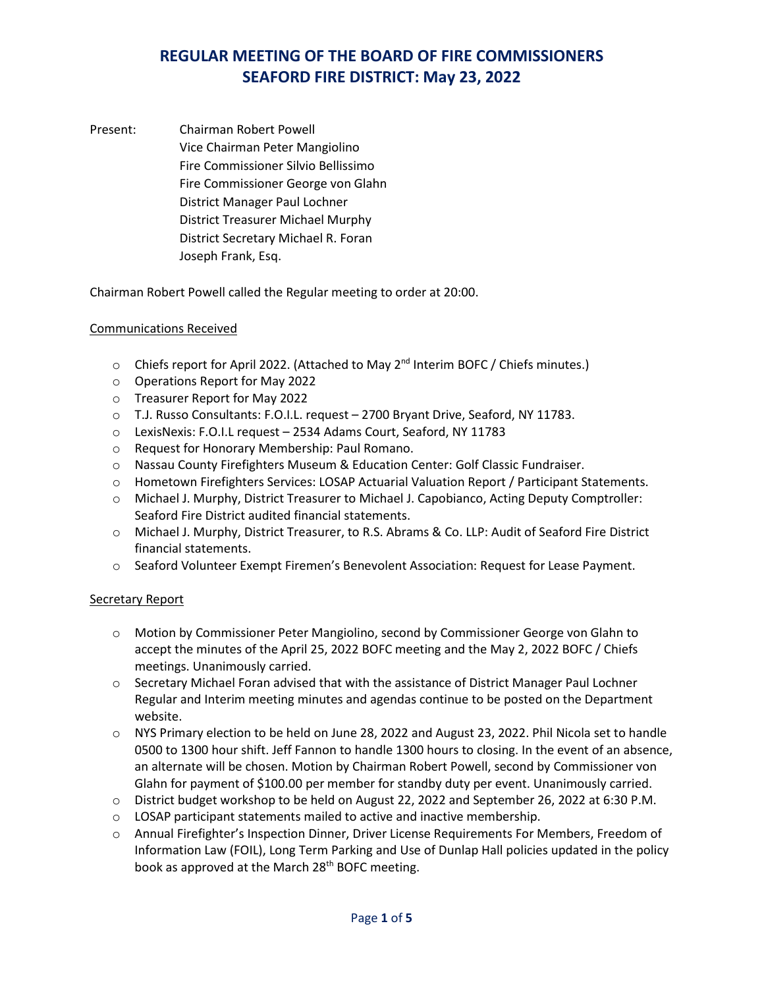Present: Chairman Robert Powell Vice Chairman Peter Mangiolino Fire Commissioner Silvio Bellissimo Fire Commissioner George von Glahn District Manager Paul Lochner District Treasurer Michael Murphy District Secretary Michael R. Foran Joseph Frank, Esq.

Chairman Robert Powell called the Regular meeting to order at 20:00.

## Communications Received

- $\circ$  Chiefs report for April 2022. (Attached to May 2<sup>nd</sup> Interim BOFC / Chiefs minutes.)
- o Operations Report for May 2022
- o Treasurer Report for May 2022
- o T.J. Russo Consultants: F.O.I.L. request 2700 Bryant Drive, Seaford, NY 11783.
- o LexisNexis: F.O.I.L request 2534 Adams Court, Seaford, NY 11783
- o Request for Honorary Membership: Paul Romano.
- o Nassau County Firefighters Museum & Education Center: Golf Classic Fundraiser.
- o Hometown Firefighters Services: LOSAP Actuarial Valuation Report / Participant Statements.
- o Michael J. Murphy, District Treasurer to Michael J. Capobianco, Acting Deputy Comptroller: Seaford Fire District audited financial statements.
- o Michael J. Murphy, District Treasurer, to R.S. Abrams & Co. LLP: Audit of Seaford Fire District financial statements.
- o Seaford Volunteer Exempt Firemen's Benevolent Association: Request for Lease Payment.

### Secretary Report

- o Motion by Commissioner Peter Mangiolino, second by Commissioner George von Glahn to accept the minutes of the April 25, 2022 BOFC meeting and the May 2, 2022 BOFC / Chiefs meetings. Unanimously carried.
- o Secretary Michael Foran advised that with the assistance of District Manager Paul Lochner Regular and Interim meeting minutes and agendas continue to be posted on the Department website.
- o NYS Primary election to be held on June 28, 2022 and August 23, 2022. Phil Nicola set to handle 0500 to 1300 hour shift. Jeff Fannon to handle 1300 hours to closing. In the event of an absence, an alternate will be chosen. Motion by Chairman Robert Powell, second by Commissioner von Glahn for payment of \$100.00 per member for standby duty per event. Unanimously carried.
- o District budget workshop to be held on August 22, 2022 and September 26, 2022 at 6:30 P.M.
- o LOSAP participant statements mailed to active and inactive membership.
- o Annual Firefighter's Inspection Dinner, Driver License Requirements For Members, Freedom of Information Law (FOIL), Long Term Parking and Use of Dunlap Hall policies updated in the policy book as approved at the March 28<sup>th</sup> BOFC meeting.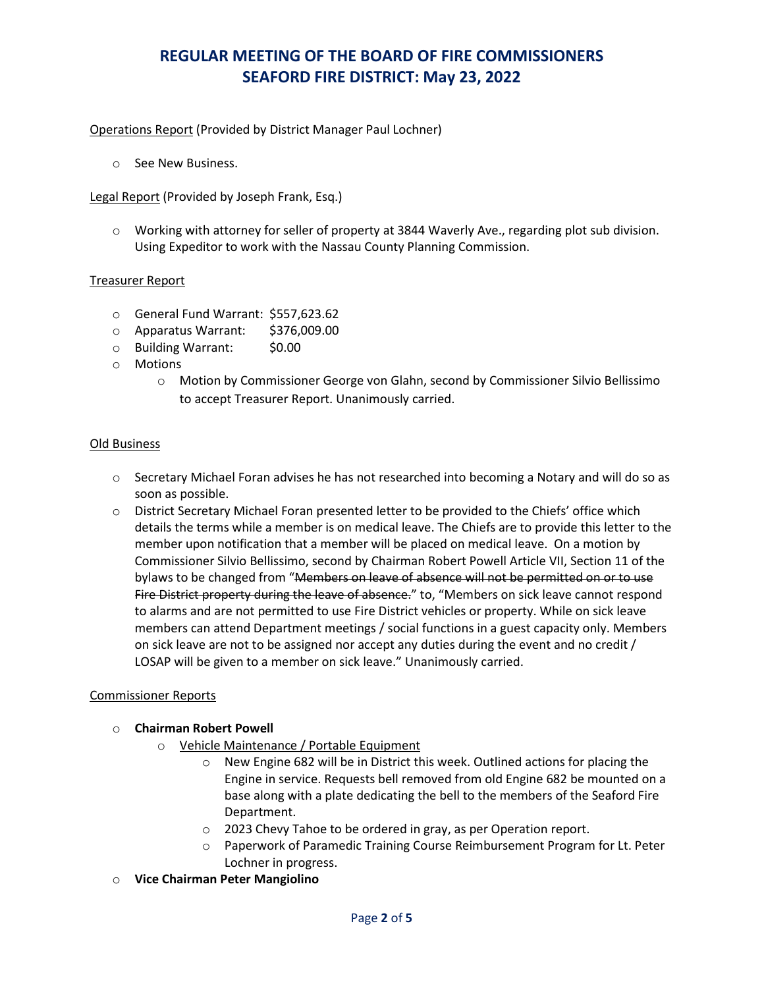## Operations Report (Provided by District Manager Paul Lochner)

o See New Business.

Legal Report (Provided by Joseph Frank, Esq.)

o Working with attorney for seller of property at 3844 Waverly Ave., regarding plot sub division. Using Expeditor to work with the Nassau County Planning Commission.

## Treasurer Report

- o General Fund Warrant: \$557,623.62
- o Apparatus Warrant: \$376,009.00
- o Building Warrant: \$0.00
- o Motions
	- o Motion by Commissioner George von Glahn, second by Commissioner Silvio Bellissimo to accept Treasurer Report. Unanimously carried.

### Old Business

- $\circ$  Secretary Michael Foran advises he has not researched into becoming a Notary and will do so as soon as possible.
- o District Secretary Michael Foran presented letter to be provided to the Chiefs' office which details the terms while a member is on medical leave. The Chiefs are to provide this letter to the member upon notification that a member will be placed on medical leave. On a motion by Commissioner Silvio Bellissimo, second by Chairman Robert Powell Article VII, Section 11 of the bylaws to be changed from "Members on leave of absence will not be permitted on or to use Fire District property during the leave of absence." to, "Members on sick leave cannot respond to alarms and are not permitted to use Fire District vehicles or property. While on sick leave members can attend Department meetings / social functions in a guest capacity only. Members on sick leave are not to be assigned nor accept any duties during the event and no credit / LOSAP will be given to a member on sick leave." Unanimously carried.

### Commissioner Reports

### o **Chairman Robert Powell**

- o Vehicle Maintenance / Portable Equipment
	- o New Engine 682 will be in District this week. Outlined actions for placing the Engine in service. Requests bell removed from old Engine 682 be mounted on a base along with a plate dedicating the bell to the members of the Seaford Fire Department.
	- o 2023 Chevy Tahoe to be ordered in gray, as per Operation report.
	- o Paperwork of Paramedic Training Course Reimbursement Program for Lt. Peter Lochner in progress.
- o **Vice Chairman Peter Mangiolino**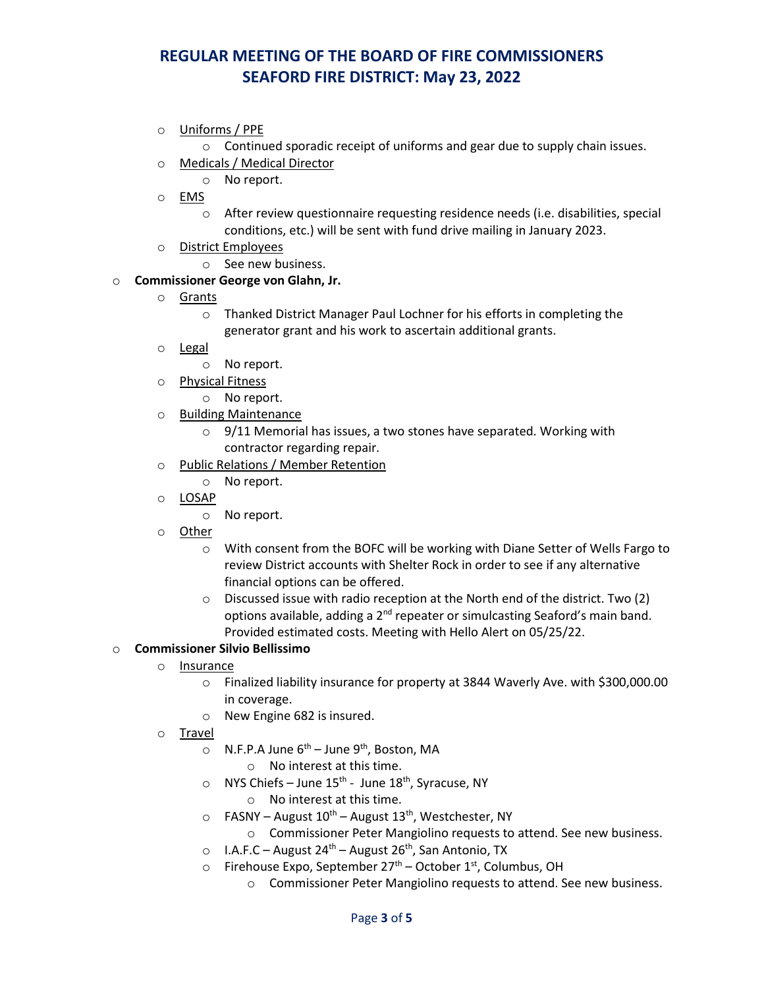o Uniforms / PPE

 $\circ$  Continued sporadic receipt of uniforms and gear due to supply chain issues.

- o Medicals / Medical Director
	- o No report.
- o EMS
	- o After review questionnaire requesting residence needs (i.e. disabilities, special conditions, etc.) will be sent with fund drive mailing in January 2023.
- o District Employees
	- o See new business.

## o **Commissioner George von Glahn, Jr.**

- o Grants
	- o Thanked District Manager Paul Lochner for his efforts in completing the generator grant and his work to ascertain additional grants.
- o Legal
	- o No report.
- o Physical Fitness
	- o No report.
- o Building Maintenance
	- o 9/11 Memorial has issues, a two stones have separated. Working with contractor regarding repair.
- o Public Relations / Member Retention
	- o No report.
- o LOSAP
	- o No report.
- o Other
	- o With consent from the BOFC will be working with Diane Setter of Wells Fargo to review District accounts with Shelter Rock in order to see if any alternative financial options can be offered.
	- o Discussed issue with radio reception at the North end of the district. Two (2) options available, adding a 2<sup>nd</sup> repeater or simulcasting Seaford's main band. Provided estimated costs. Meeting with Hello Alert on 05/25/22.

### o **Commissioner Silvio Bellissimo**

- o Insurance
	- o Finalized liability insurance for property at 3844 Waverly Ave. with \$300,000.00 in coverage.
	- o New Engine 682 is insured.
- o Travel
	- $\circ$  N.F.P.A June  $6^{th}$  June  $9^{th}$ , Boston, MA
		- o No interest at this time.
	- $\circ$  NYS Chiefs June 15<sup>th</sup> June 18<sup>th</sup>, Syracuse, NY
		- o No interest at this time.
	- $\circ$  FASNY August 10<sup>th</sup> August 13<sup>th</sup>, Westchester, NY
		- o Commissioner Peter Mangiolino requests to attend. See new business.
	- $\circ$  I.A.F.C August 24<sup>th</sup> August 26<sup>th</sup>, San Antonio, TX
	- $\circ$  Firehouse Expo, September 27<sup>th</sup> October 1<sup>st</sup>, Columbus, OH
		- o Commissioner Peter Mangiolino requests to attend. See new business.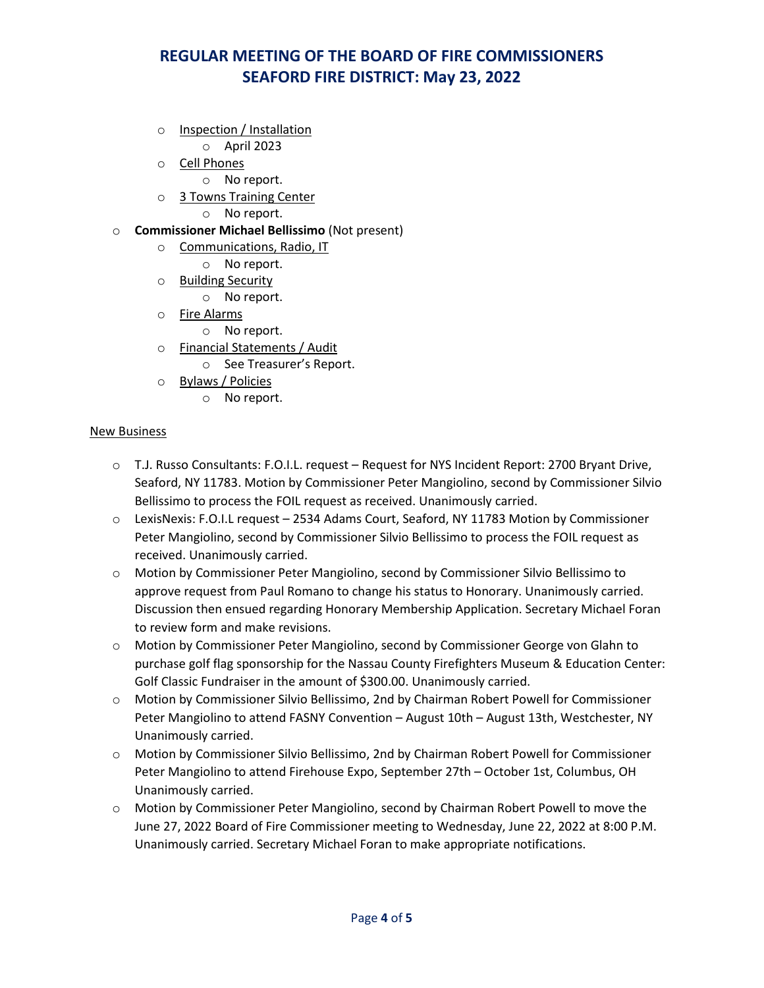- o Inspection / Installation
	- o April 2023
- o Cell Phones
	- o No report.
- o 3 Towns Training Center
	- o No report.
- o **Commissioner Michael Bellissimo** (Not present)
	- o Communications, Radio, IT
		- o No report.
	- o Building Security
		- o No report.
	- o Fire Alarms
		- o No report.
	- o Financial Statements / Audit
		- o See Treasurer's Report.
	- o Bylaws / Policies
		- o No report.

#### New Business

- o T.J. Russo Consultants: F.O.I.L. request Request for NYS Incident Report: 2700 Bryant Drive, Seaford, NY 11783. Motion by Commissioner Peter Mangiolino, second by Commissioner Silvio Bellissimo to process the FOIL request as received. Unanimously carried.
- o LexisNexis: F.O.I.L request 2534 Adams Court, Seaford, NY 11783 Motion by Commissioner Peter Mangiolino, second by Commissioner Silvio Bellissimo to process the FOIL request as received. Unanimously carried.
- o Motion by Commissioner Peter Mangiolino, second by Commissioner Silvio Bellissimo to approve request from Paul Romano to change his status to Honorary. Unanimously carried. Discussion then ensued regarding Honorary Membership Application. Secretary Michael Foran to review form and make revisions.
- o Motion by Commissioner Peter Mangiolino, second by Commissioner George von Glahn to purchase golf flag sponsorship for the Nassau County Firefighters Museum & Education Center: Golf Classic Fundraiser in the amount of \$300.00. Unanimously carried.
- o Motion by Commissioner Silvio Bellissimo, 2nd by Chairman Robert Powell for Commissioner Peter Mangiolino to attend FASNY Convention – August 10th – August 13th, Westchester, NY Unanimously carried.
- o Motion by Commissioner Silvio Bellissimo, 2nd by Chairman Robert Powell for Commissioner Peter Mangiolino to attend Firehouse Expo, September 27th – October 1st, Columbus, OH Unanimously carried.
- o Motion by Commissioner Peter Mangiolino, second by Chairman Robert Powell to move the June 27, 2022 Board of Fire Commissioner meeting to Wednesday, June 22, 2022 at 8:00 P.M. Unanimously carried. Secretary Michael Foran to make appropriate notifications.